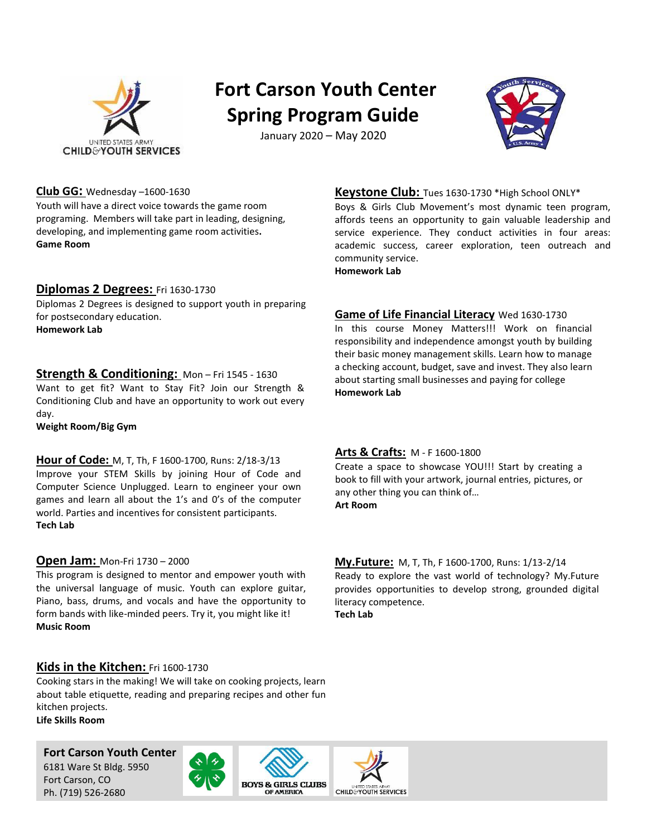

# **Fort Carson Youth Center Spring Program Guide**

January 2020 – May 2020



#### **Club GG:** Wednesday –1600-1630

Youth will have a direct voice towards the game room programing. Members will take part in leading, designing, developing, and implementing game room activities**. Game Room**

#### **Diplomas 2 Degrees:** Fri 1630-1730

Diplomas 2 Degrees is designed to support youth in preparing for postsecondary education.

**Homework Lab**

#### **Strength & Conditioning:** Mon – Fri 1545 - 1630

Want to get fit? Want to Stay Fit? Join our Strength & Conditioning Club and have an opportunity to work out every day.

**Weight Room/Big Gym**

## **Hour of Code:** Tuesday & Friday 1600-1700 **Hour of Code:** M, T, Th, F 1600-1700, Runs: 2/18-3/13

Improve your STEM Skills by joining Hour of Code and Improve your STEM Skills by joining Hour of Code and Computer Science Unplugged. Learn to engineer your own Computer Science Unplugged. Learn to engineer your own games and learn all about the 1's and 0's of the computer games and learn all about the 1's and 0's of the computer world. Parties and incentives for consistent participants. world. Parties and incentives for consistent participants. **Computer Lab Tech Lab**

#### **Open Jam:** Mon-Fri 1730 – 2000

This program is designed to mentor and empower youth with the universal language of music. Youth can explore guitar, Piano, bass, drums, and vocals and have the opportunity to form bands with like-minded peers. Try it, you might like it! **Music Room**

#### **Kids in the Kitchen:** Fri 1600-1730

Cooking stars in the making! We will take on cooking projects, learn about table etiquette, reading and preparing recipes and other fun kitchen projects. **Life Skills Room**

#### **Fort Carson Youth Center**

6181 Ware St Bldg. 5950 Fort Carson, CO Ph. (719) 526-2680







**Keystone Club:** Tues 1630-1730 \*High School ONLY\*

Boys & Girls Club Movement's most dynamic teen program, affords teens an opportunity to gain valuable leadership and service experience. They conduct activities in four areas: academic success, career exploration, teen outreach and community service.

**Homework Lab**

#### **Game of Life Financial Literacy** Wed 1630-1730

In this course Money Matters!!! Work on financial responsibility and independence amongst youth by building their basic money management skills. Learn how to manage a checking account, budget, save and invest. They also learn about starting small businesses and paying for college **Homework Lab**

#### **Arts & Crafts:** M - F 1600-1800

Create a space to showcase YOU!!! Start by creating a book to fill with your artwork, journal entries, pictures, or any other thing you can think of… **Art Room**

#### **My.Future:** M, T, Th, F 1600-1700, Runs: 1/13-2/14 Ready to explore the vast world of technology? My.Future Ready to explore the vast world of technology? My.Future provides opportunities to develop strong, grounded digital literacy competence.

**Tech Lab**